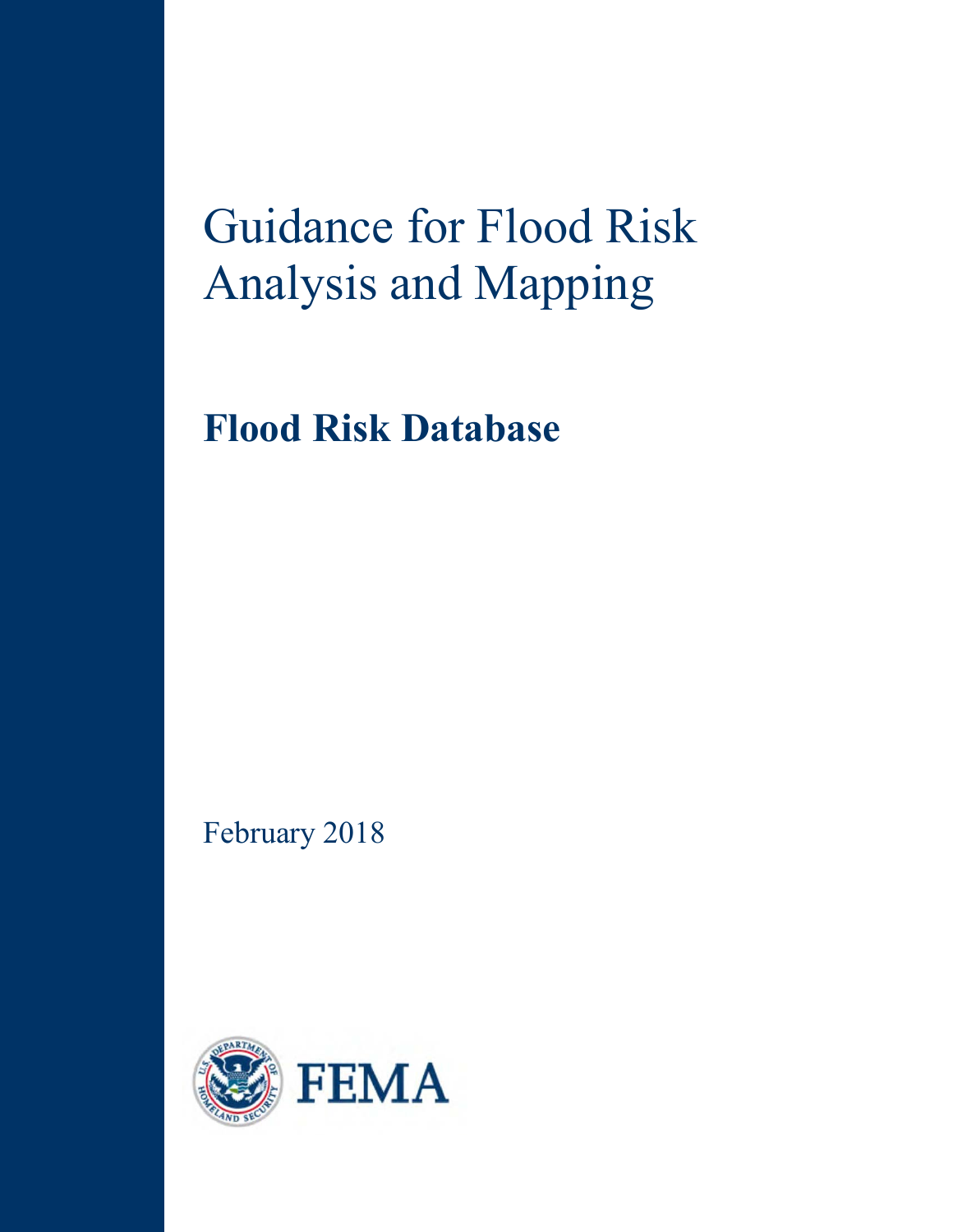# Guidance for Flood Risk Analysis and Mapping

**Flood Risk Database**

February 2018

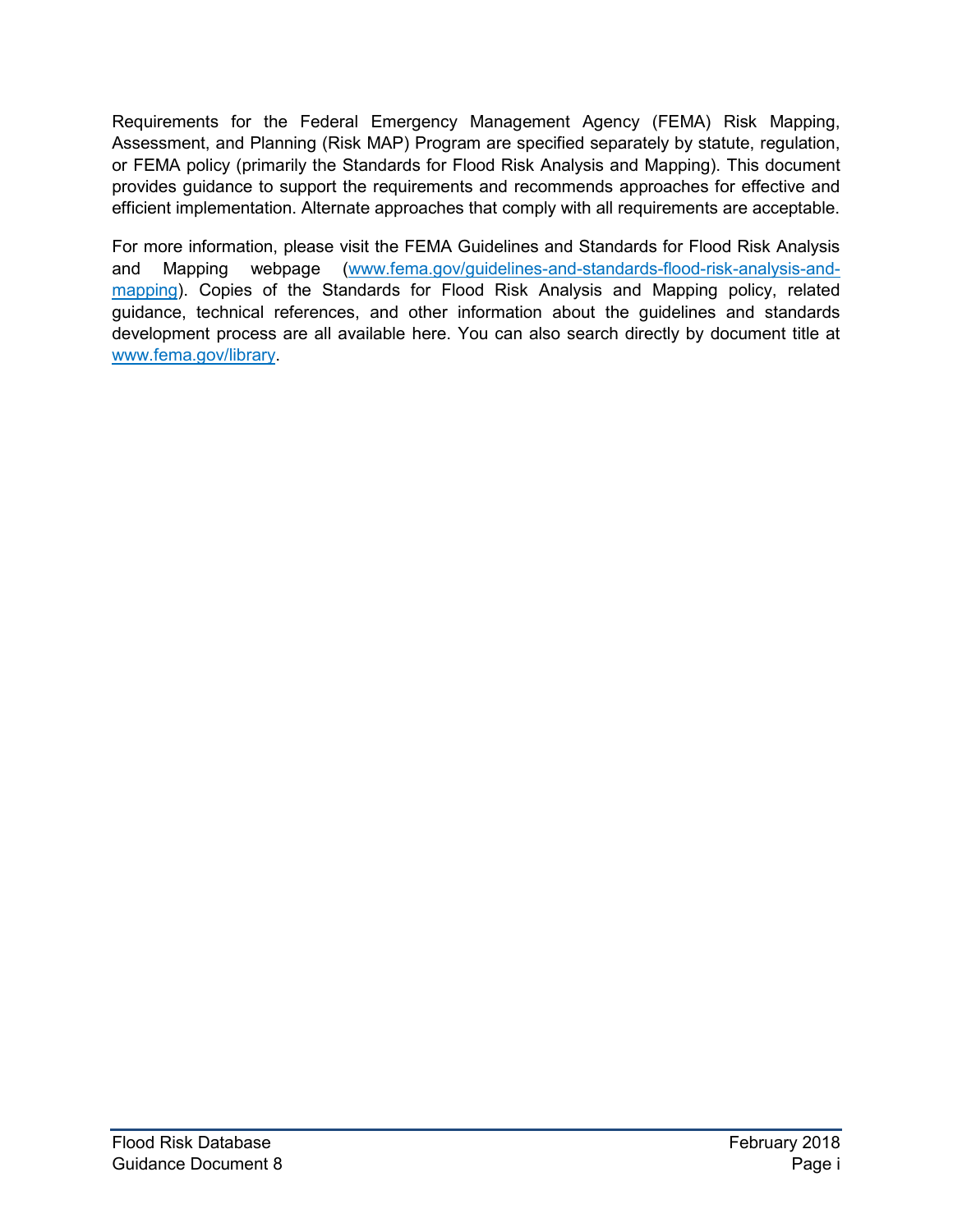Requirements for the Federal Emergency Management Agency (FEMA) Risk Mapping, Assessment, and Planning (Risk MAP) Program are specified separately by statute, regulation, or FEMA policy (primarily the Standards for Flood Risk Analysis and Mapping). This document provides guidance to support the requirements and recommends approaches for effective and efficient implementation. Alternate approaches that comply with all requirements are acceptable.

For more information, please visit the FEMA Guidelines and Standards for Flood Risk Analysis and Mapping webpage [\(www.fema.gov/guidelines-and-standards-flood-risk-analysis-and](http://www.fema.gov/guidelines-and-standards-flood-risk-analysis-and-mapping)[mapping\)](http://www.fema.gov/guidelines-and-standards-flood-risk-analysis-and-mapping). Copies of the Standards for Flood Risk Analysis and Mapping policy, related guidance, technical references, and other information about the guidelines and standards development process are all available here. You can also search directly by document title at [www.fema.gov/library.](http://www.fema.gov/library)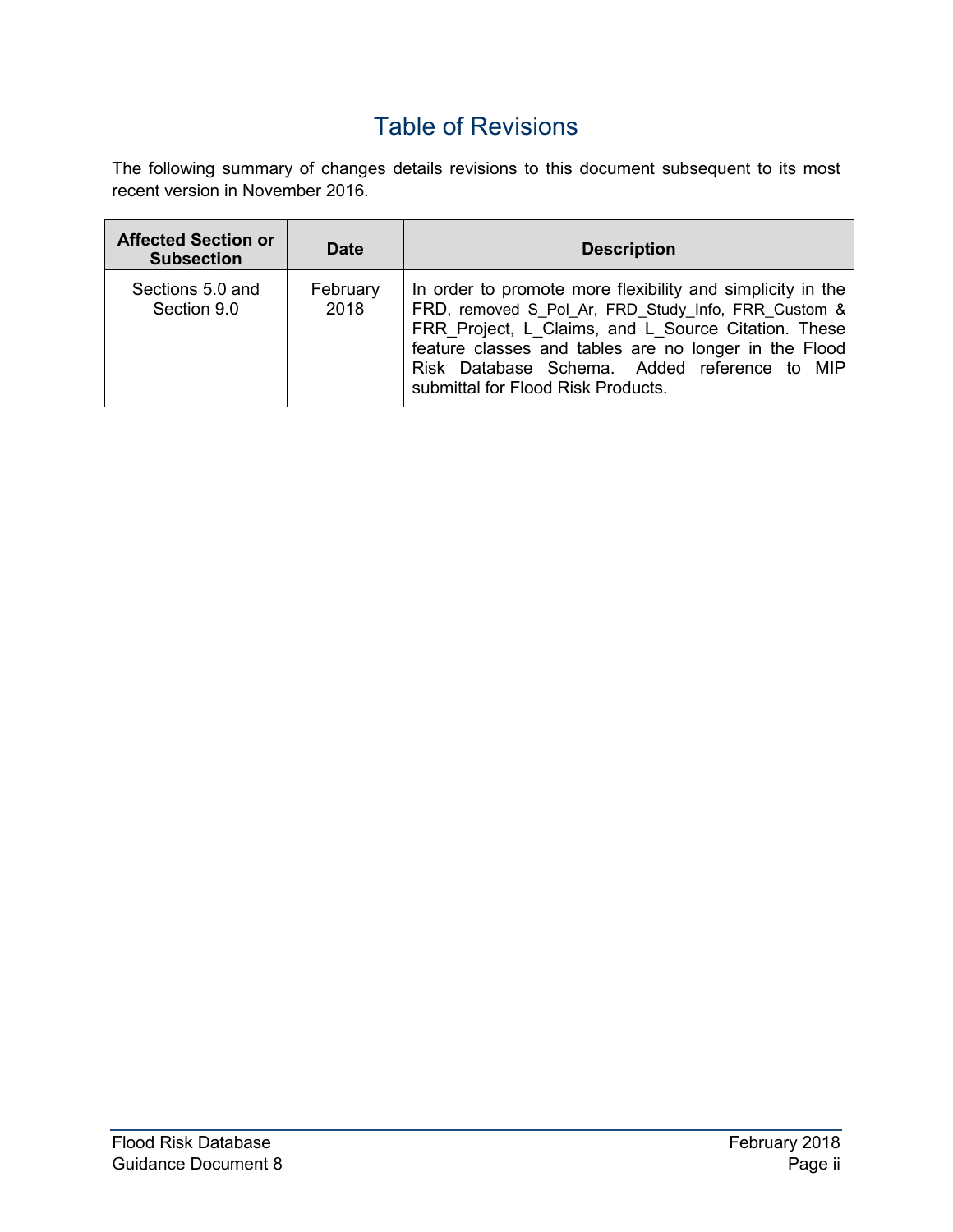# Table of Revisions

The following summary of changes details revisions to this document subsequent to its most recent version in November 2016.

| <b>Affected Section or</b><br><b>Subsection</b> | <b>Date</b>      | <b>Description</b>                                                                                                                                                                                                                                                                                                      |
|-------------------------------------------------|------------------|-------------------------------------------------------------------------------------------------------------------------------------------------------------------------------------------------------------------------------------------------------------------------------------------------------------------------|
| Sections 5.0 and<br>Section 9.0                 | February<br>2018 | In order to promote more flexibility and simplicity in the<br>FRD, removed S Pol Ar, FRD Study Info, FRR Custom &<br>FRR_Project, L_Claims, and L_Source Citation. These<br>feature classes and tables are no longer in the Flood<br>Risk Database Schema. Added reference to MIP<br>submittal for Flood Risk Products. |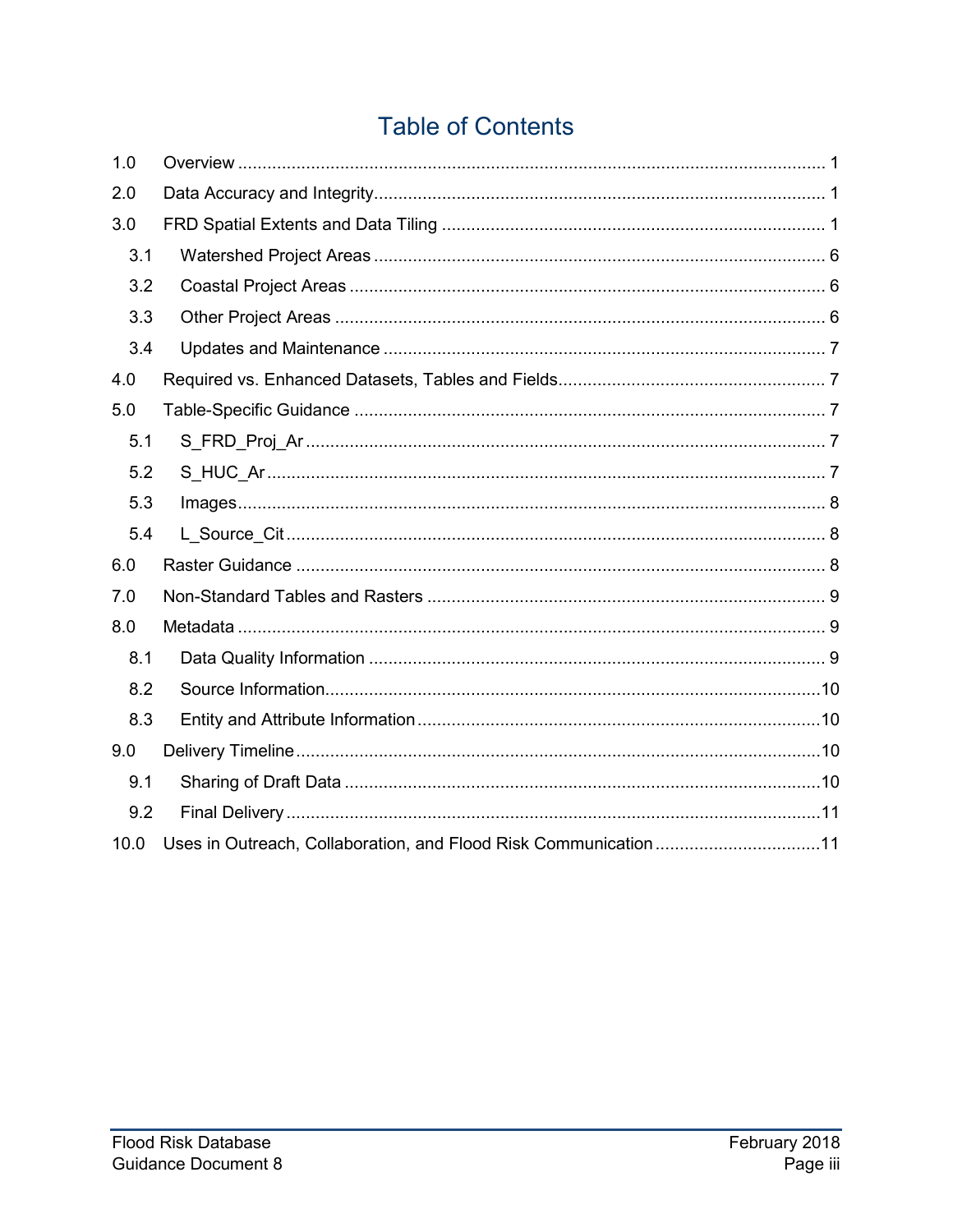# **Table of Contents**

| 1.0  |                                                                 |
|------|-----------------------------------------------------------------|
| 2.0  |                                                                 |
| 3.0  |                                                                 |
| 3.1  |                                                                 |
| 3.2  |                                                                 |
| 3.3  |                                                                 |
| 3.4  |                                                                 |
| 4.0  |                                                                 |
| 5.0  |                                                                 |
| 5.1  |                                                                 |
| 5.2  |                                                                 |
| 5.3  |                                                                 |
| 5.4  |                                                                 |
| 6.0  |                                                                 |
| 7.0  |                                                                 |
| 8.0  |                                                                 |
| 8.1  |                                                                 |
| 8.2  |                                                                 |
| 8.3  |                                                                 |
| 9.0  |                                                                 |
| 9.1  |                                                                 |
| 9.2  |                                                                 |
| 10.0 | Uses in Outreach, Collaboration, and Flood Risk Communication11 |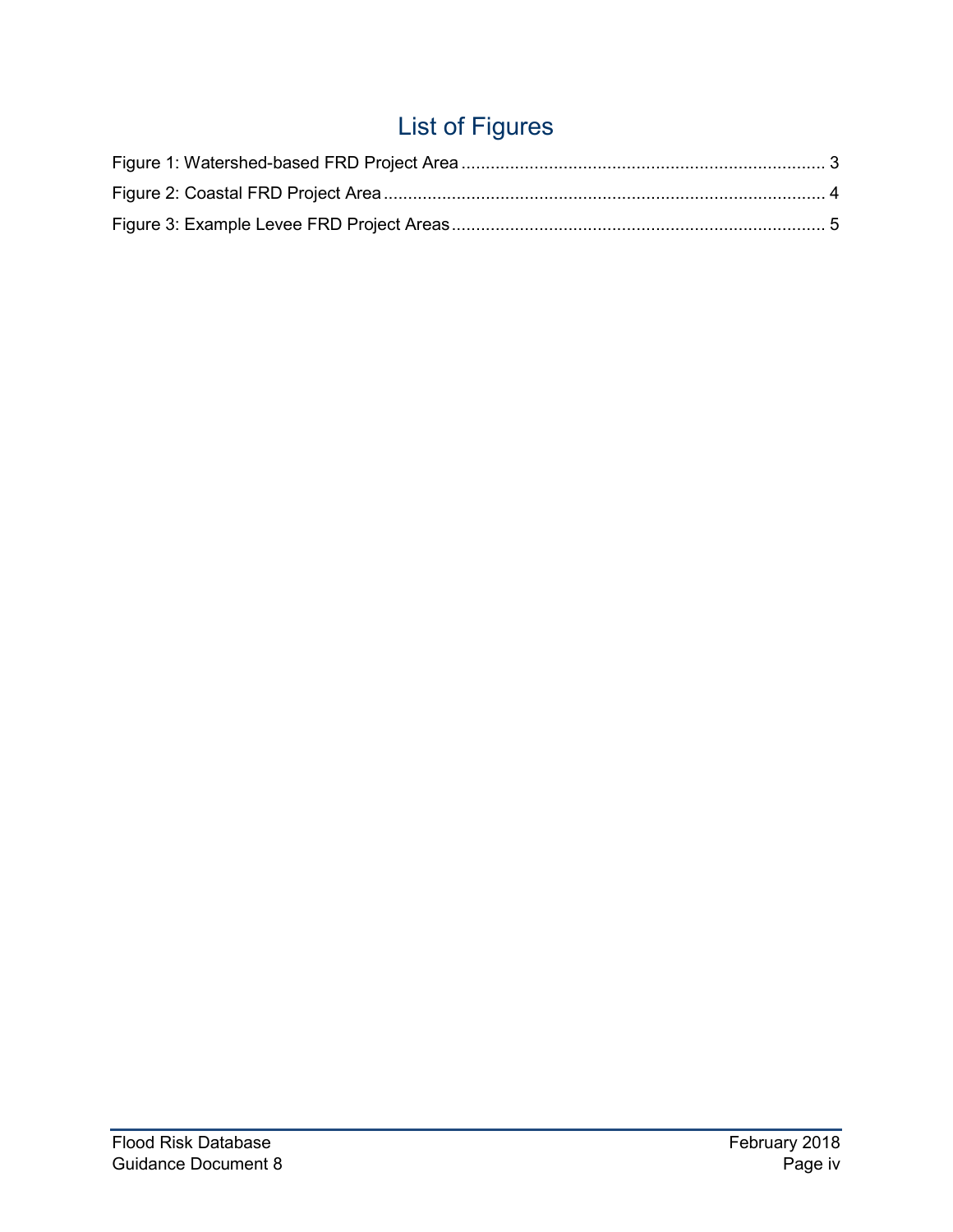# List of Figures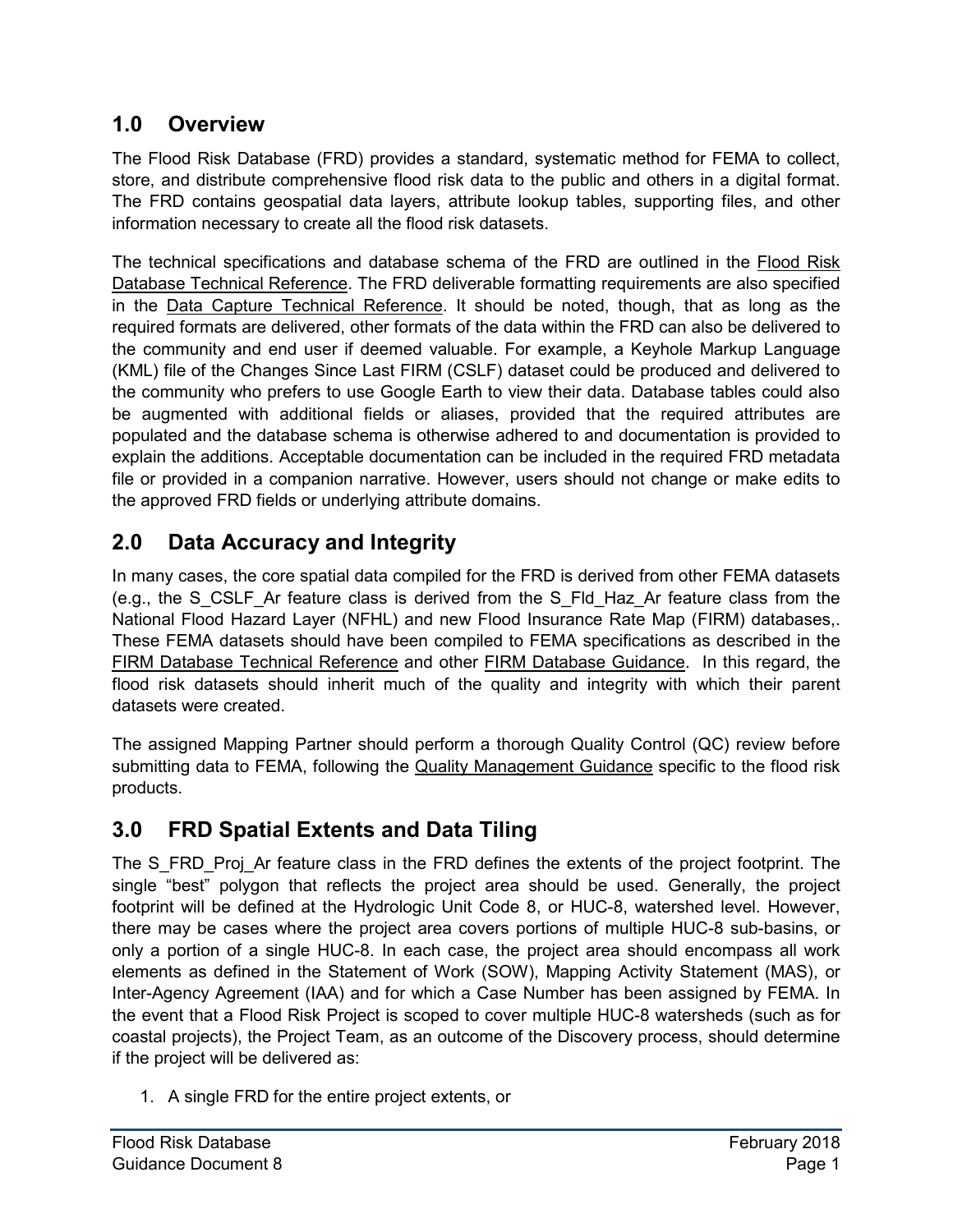# <span id="page-5-0"></span>**1.0 Overview**

The Flood Risk Database (FRD) provides a standard, systematic method for FEMA to collect, store, and distribute comprehensive flood risk data to the public and others in a digital format. The FRD contains geospatial data layers, attribute lookup tables, supporting files, and other information necessary to create all the flood risk datasets.

The technical specifications and database schema of the FRD are outlined in the Flood Risk Database Technical Reference. The FRD deliverable formatting requirements are also specified in the Data Capture Technical Reference. It should be noted, though, that as long as the required formats are delivered, other formats of the data within the FRD can also be delivered to the community and end user if deemed valuable. For example, a Keyhole Markup Language (KML) file of the Changes Since Last FIRM (CSLF) dataset could be produced and delivered to the community who prefers to use Google Earth to view their data. Database tables could also be augmented with additional fields or aliases, provided that the required attributes are populated and the database schema is otherwise adhered to and documentation is provided to explain the additions. Acceptable documentation can be included in the required FRD metadata file or provided in a companion narrative. However, users should not change or make edits to the approved FRD fields or underlying attribute domains.

# <span id="page-5-1"></span>**2.0 Data Accuracy and Integrity**

In many cases, the core spatial data compiled for the FRD is derived from other FEMA datasets (e.g., the S\_CSLF\_Ar feature class is derived from the S\_Fld\_Haz\_Ar feature class from the National Flood Hazard Layer (NFHL) and new Flood Insurance Rate Map (FIRM) databases,. These FEMA datasets should have been compiled to FEMA specifications as described in the FIRM Database Technical Reference and other FIRM Database Guidance. In this regard, the flood risk datasets should inherit much of the quality and integrity with which their parent datasets were created.

The assigned Mapping Partner should perform a thorough Quality Control (QC) review before submitting data to FEMA, following the Quality Management Guidance specific to the flood risk products.

# <span id="page-5-2"></span>**3.0 FRD Spatial Extents and Data Tiling**

The S\_FRD\_Proj\_Ar feature class in the FRD defines the extents of the project footprint. The single "best" polygon that reflects the project area should be used. Generally, the project footprint will be defined at the Hydrologic Unit Code 8, or HUC-8, watershed level. However, there may be cases where the project area covers portions of multiple HUC-8 sub-basins, or only a portion of a single HUC-8. In each case, the project area should encompass all work elements as defined in the Statement of Work (SOW), Mapping Activity Statement (MAS), or Inter-Agency Agreement (IAA) and for which a Case Number has been assigned by FEMA. In the event that a Flood Risk Project is scoped to cover multiple HUC-8 watersheds (such as for coastal projects), the Project Team, as an outcome of the Discovery process, should determine if the project will be delivered as:

1. A single FRD for the entire project extents, or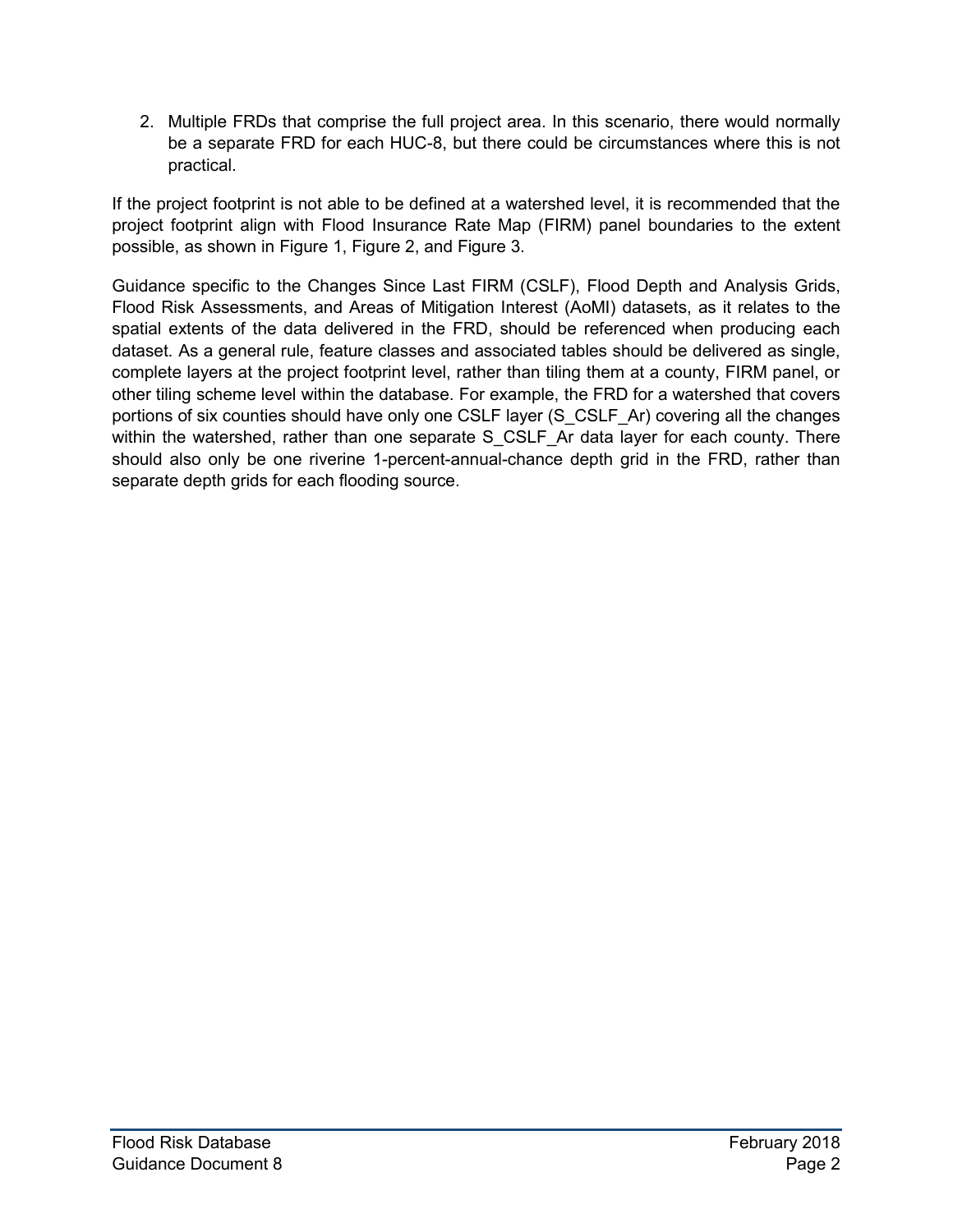2. Multiple FRDs that comprise the full project area. In this scenario, there would normally be a separate FRD for each HUC-8, but there could be circumstances where this is not practical.

If the project footprint is not able to be defined at a watershed level, it is recommended that the project footprint align with Flood Insurance Rate Map (FIRM) panel boundaries to the extent possible, as shown in [Figure 1,](#page-7-0) [Figure 2,](#page-8-0) and [Figure 3.](#page-9-0)

Guidance specific to the Changes Since Last FIRM (CSLF), Flood Depth and Analysis Grids, Flood Risk Assessments, and Areas of Mitigation Interest (AoMI) datasets, as it relates to the spatial extents of the data delivered in the FRD, should be referenced when producing each dataset. As a general rule, feature classes and associated tables should be delivered as single, complete layers at the project footprint level, rather than tiling them at a county, FIRM panel, or other tiling scheme level within the database. For example, the FRD for a watershed that covers portions of six counties should have only one CSLF layer (S\_CSLF\_Ar) covering all the changes within the watershed, rather than one separate S CSLF Ar data layer for each county. There should also only be one riverine 1-percent-annual-chance depth grid in the FRD, rather than separate depth grids for each flooding source.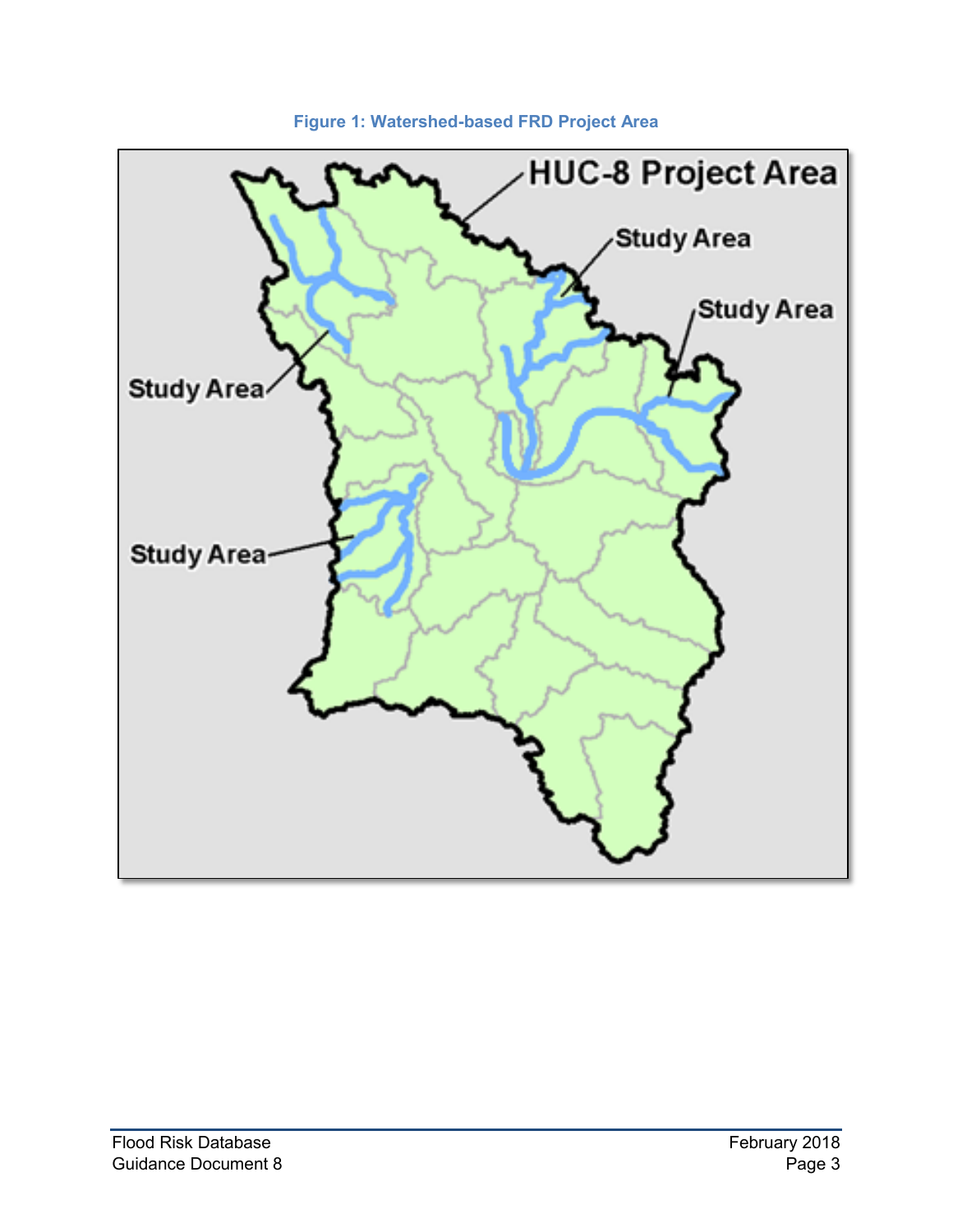<span id="page-7-0"></span>

**Figure 1: Watershed-based FRD Project Area**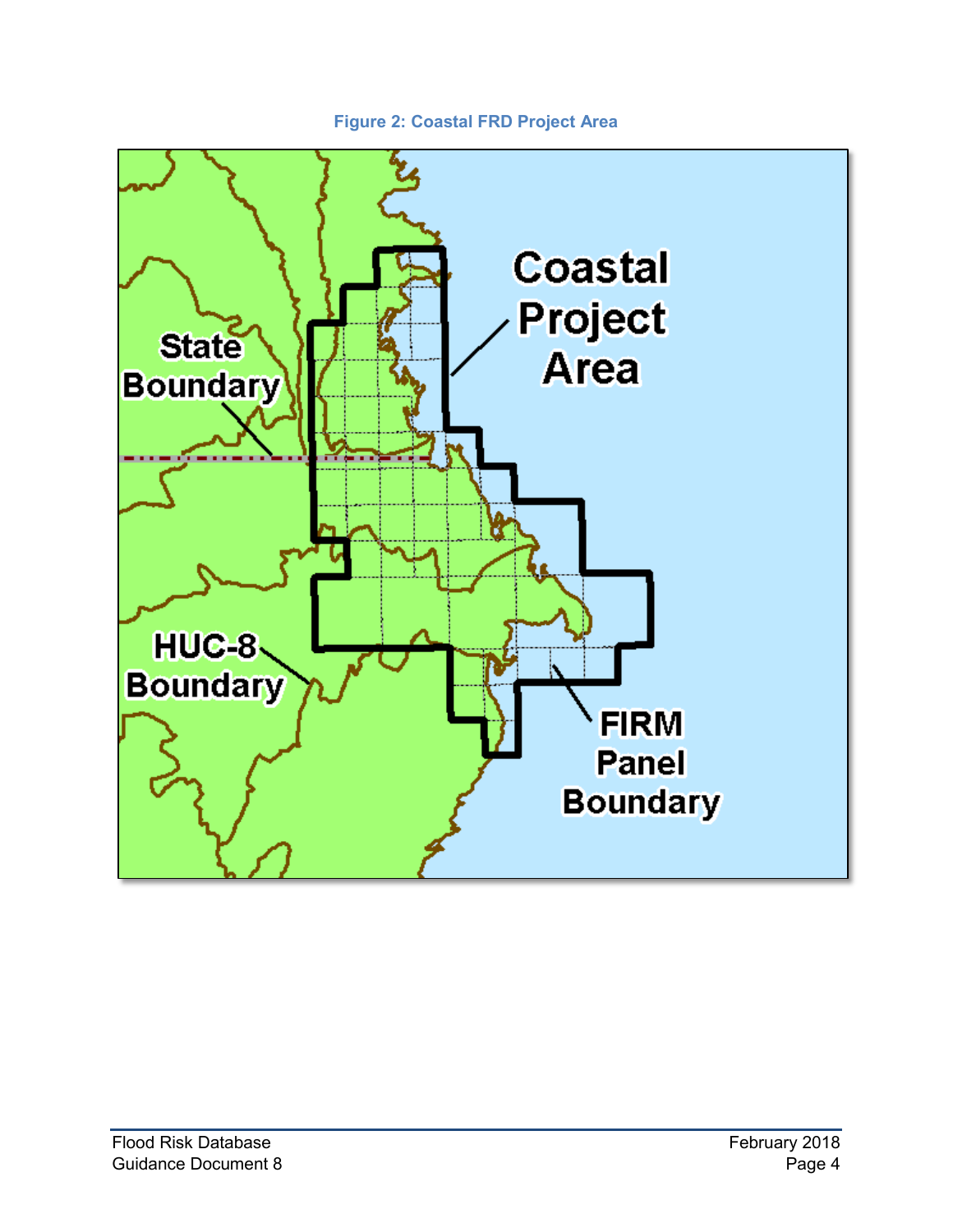#### **Figure 2: Coastal FRD Project Area**

<span id="page-8-0"></span>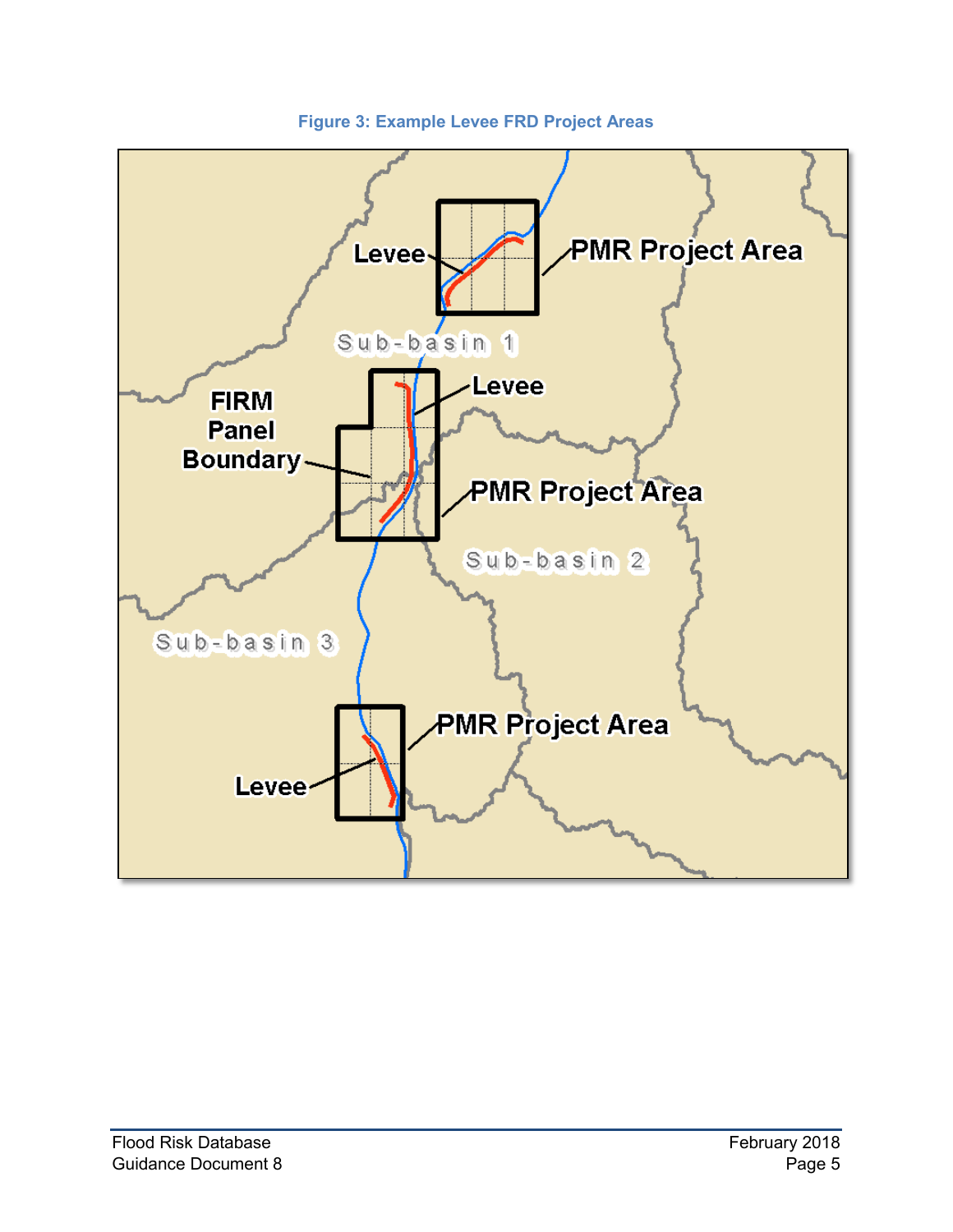<span id="page-9-0"></span>

**Figure 3: Example Levee FRD Project Areas**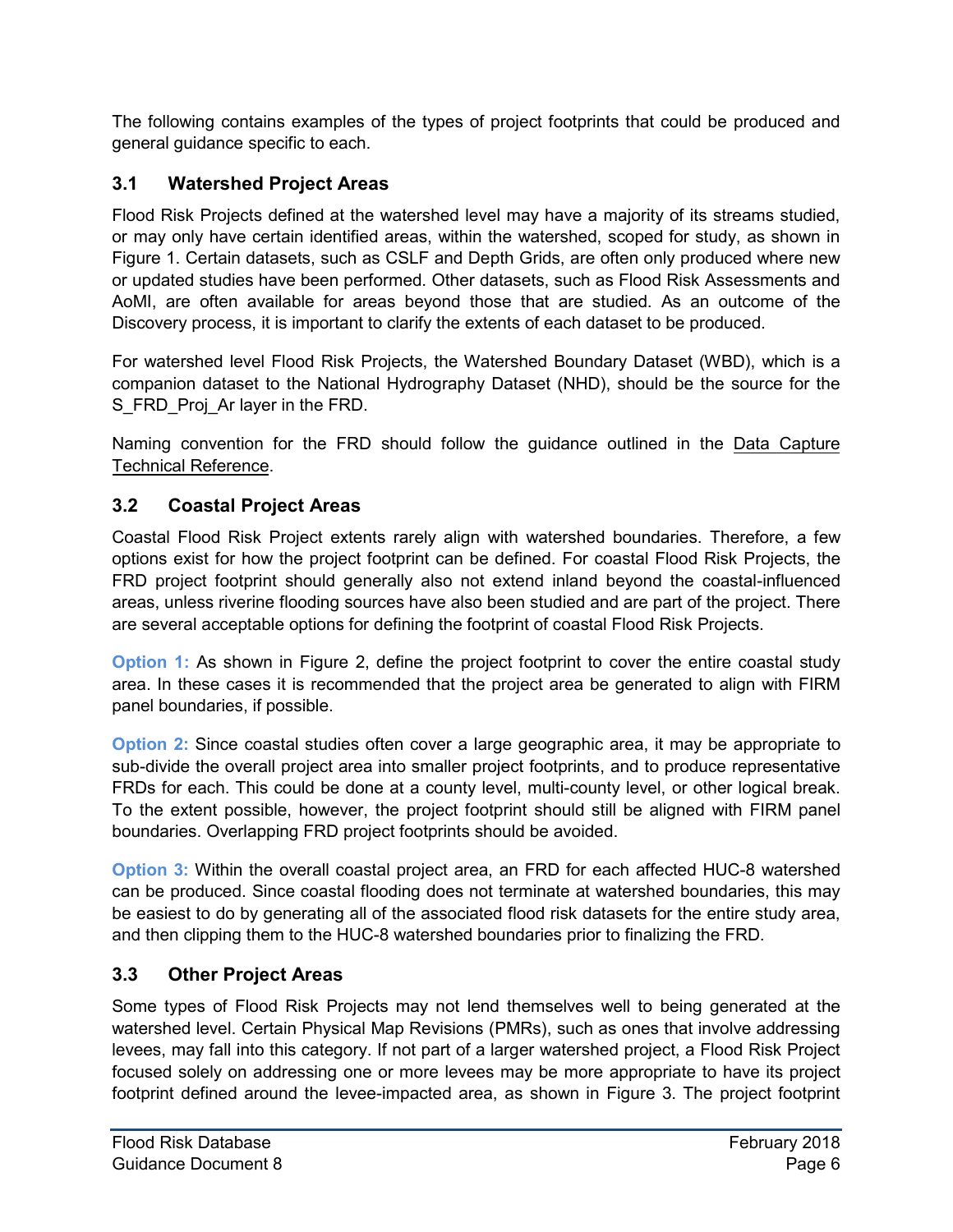The following contains examples of the types of project footprints that could be produced and general guidance specific to each.

#### <span id="page-10-0"></span>**3.1 Watershed Project Areas**

Flood Risk Projects defined at the watershed level may have a majority of its streams studied, or may only have certain identified areas, within the watershed, scoped for study, as shown in [Figure 1.](#page-7-0) Certain datasets, such as CSLF and Depth Grids, are often only produced where new or updated studies have been performed. Other datasets, such as Flood Risk Assessments and AoMI, are often available for areas beyond those that are studied. As an outcome of the Discovery process, it is important to clarify the extents of each dataset to be produced.

For watershed level Flood Risk Projects, the Watershed Boundary Dataset (WBD), which is a companion dataset to the National Hydrography Dataset (NHD), should be the source for the S FRD Proj Ar layer in the FRD.

Naming convention for the FRD should follow the guidance outlined in the Data Capture Technical Reference.

#### <span id="page-10-1"></span>**3.2 Coastal Project Areas**

Coastal Flood Risk Project extents rarely align with watershed boundaries. Therefore, a few options exist for how the project footprint can be defined. For coastal Flood Risk Projects, the FRD project footprint should generally also not extend inland beyond the coastal-influenced areas, unless riverine flooding sources have also been studied and are part of the project. There are several acceptable options for defining the footprint of coastal Flood Risk Projects.

**Option 1:** As shown in [Figure](#page-8-0) 2, define the project footprint to cover the entire coastal study area. In these cases it is recommended that the project area be generated to align with FIRM panel boundaries, if possible.

**Option 2:** Since coastal studies often cover a large geographic area, it may be appropriate to sub-divide the overall project area into smaller project footprints, and to produce representative FRDs for each. This could be done at a county level, multi-county level, or other logical break. To the extent possible, however, the project footprint should still be aligned with FIRM panel boundaries. Overlapping FRD project footprints should be avoided.

**Option 3:** Within the overall coastal project area, an FRD for each affected HUC-8 watershed can be produced. Since coastal flooding does not terminate at watershed boundaries, this may be easiest to do by generating all of the associated flood risk datasets for the entire study area, and then clipping them to the HUC-8 watershed boundaries prior to finalizing the FRD.

#### <span id="page-10-2"></span>**3.3 Other Project Areas**

Some types of Flood Risk Projects may not lend themselves well to being generated at the watershed level. Certain Physical Map Revisions (PMRs), such as ones that involve addressing levees, may fall into this category. If not part of a larger watershed project, a Flood Risk Project focused solely on addressing one or more levees may be more appropriate to have its project footprint defined around the levee-impacted area, as shown in [Figure](#page-9-0) 3. The project footprint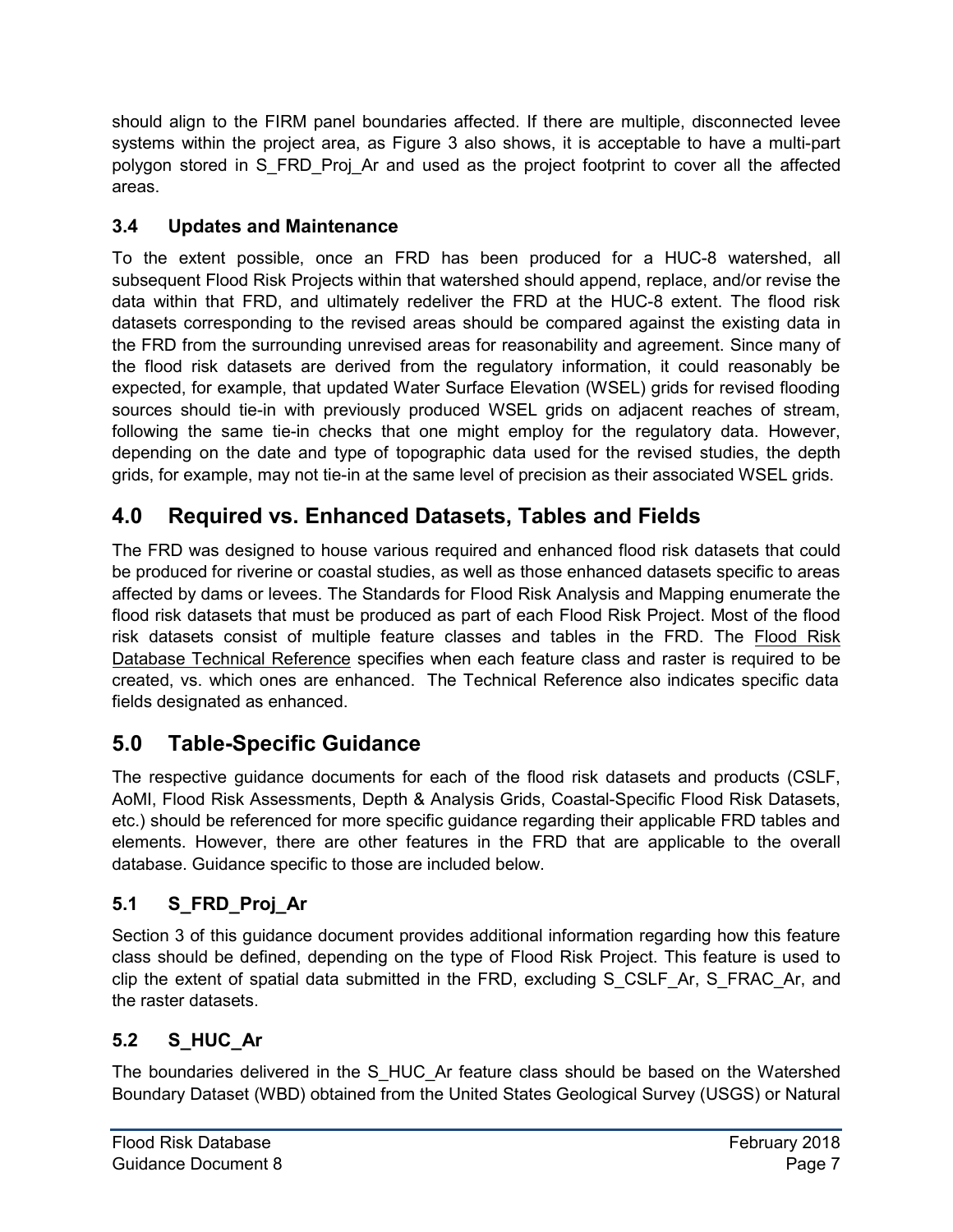should align to the FIRM panel boundaries affected. If there are multiple, disconnected levee systems within the project area, as [Figure](#page-9-0) 3 also shows, it is acceptable to have a multi-part polygon stored in S\_FRD\_Proj\_Ar and used as the project footprint to cover all the affected areas.

#### <span id="page-11-0"></span>**3.4 Updates and Maintenance**

To the extent possible, once an FRD has been produced for a HUC-8 watershed, all subsequent Flood Risk Projects within that watershed should append, replace, and/or revise the data within that FRD, and ultimately redeliver the FRD at the HUC-8 extent. The flood risk datasets corresponding to the revised areas should be compared against the existing data in the FRD from the surrounding unrevised areas for reasonability and agreement. Since many of the flood risk datasets are derived from the regulatory information, it could reasonably be expected, for example, that updated Water Surface Elevation (WSEL) grids for revised flooding sources should tie-in with previously produced WSEL grids on adjacent reaches of stream, following the same tie-in checks that one might employ for the regulatory data. However, depending on the date and type of topographic data used for the revised studies, the depth grids, for example, may not tie-in at the same level of precision as their associated WSEL grids.

# <span id="page-11-1"></span>**4.0 Required vs. Enhanced Datasets, Tables and Fields**

The FRD was designed to house various required and enhanced flood risk datasets that could be produced for riverine or coastal studies, as well as those enhanced datasets specific to areas affected by dams or levees. The Standards for Flood Risk Analysis and Mapping enumerate the flood risk datasets that must be produced as part of each Flood Risk Project. Most of the flood risk datasets consist of multiple feature classes and tables in the FRD. The Flood Risk Database Technical Reference specifies when each feature class and raster is required to be created, vs. which ones are enhanced. The Technical Reference also indicates specific data fields designated as enhanced.

## <span id="page-11-2"></span>**5.0 Table-Specific Guidance**

The respective guidance documents for each of the flood risk datasets and products (CSLF, AoMI, Flood Risk Assessments, Depth & Analysis Grids, Coastal-Specific Flood Risk Datasets, etc.) should be referenced for more specific guidance regarding their applicable FRD tables and elements. However, there are other features in the FRD that are applicable to the overall database. Guidance specific to those are included below.

#### <span id="page-11-3"></span>**5.1 S\_FRD\_Proj\_Ar**

Section 3 of this guidance document provides additional information regarding how this feature class should be defined, depending on the type of Flood Risk Project. This feature is used to clip the extent of spatial data submitted in the FRD, excluding S\_CSLF\_Ar, S\_FRAC\_Ar, and the raster datasets.

#### <span id="page-11-4"></span>**5.2 S\_HUC\_Ar**

The boundaries delivered in the S\_HUC\_Ar feature class should be based on the Watershed Boundary Dataset (WBD) obtained from the United States Geological Survey (USGS) or Natural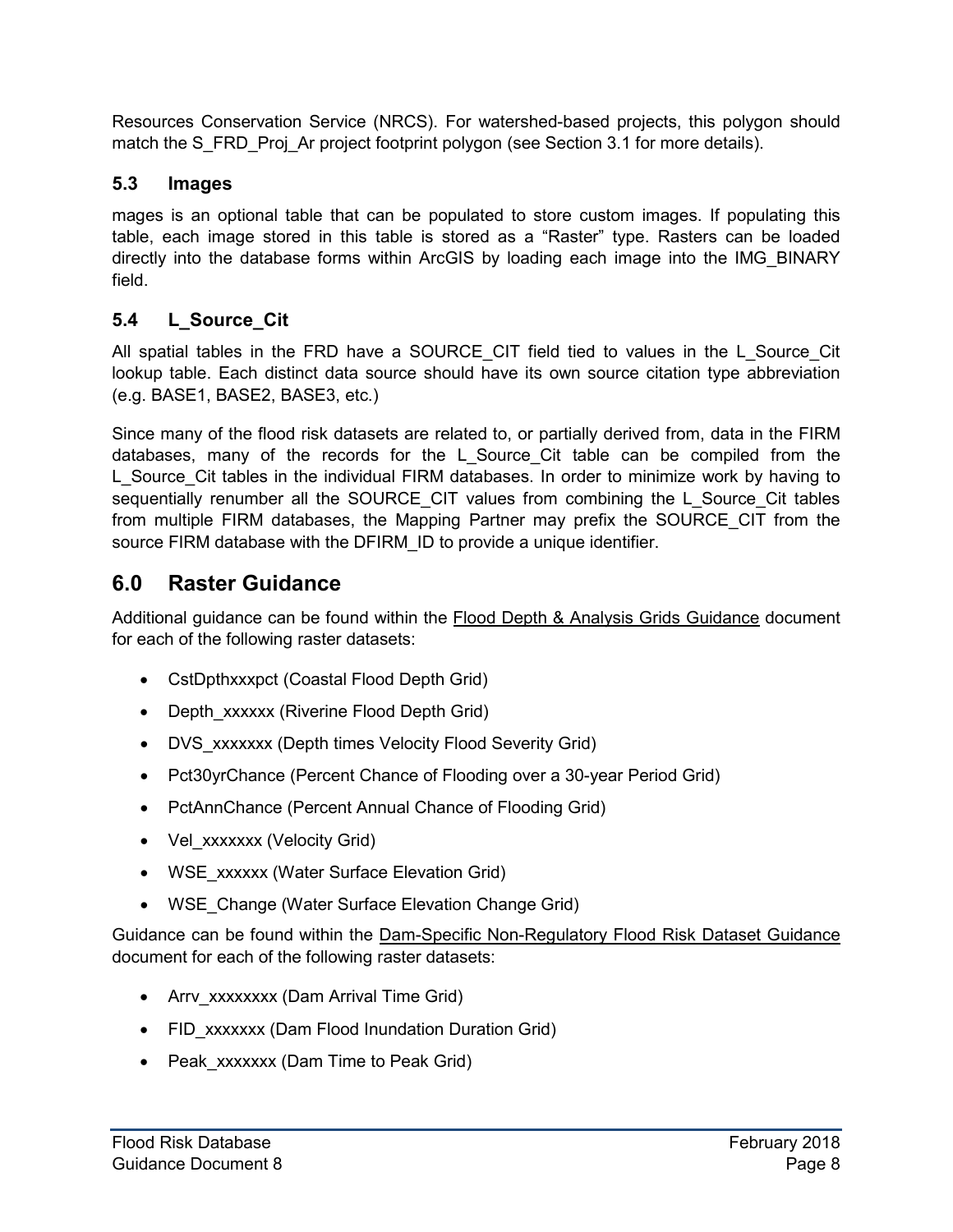Resources Conservation Service (NRCS). For watershed-based projects, this polygon should match the S\_FRD\_Proj\_Ar project footprint polygon (see Section 3.1 for more details).

#### <span id="page-12-0"></span>**5.3 Images**

mages is an optional table that can be populated to store custom images. If populating this table, each image stored in this table is stored as a "Raster" type. Rasters can be loaded directly into the database forms within ArcGIS by loading each image into the IMG\_BINARY field.

#### <span id="page-12-1"></span>**5.4 L\_Source\_Cit**

All spatial tables in the FRD have a SOURCE\_CIT field tied to values in the L\_Source\_Cit lookup table. Each distinct data source should have its own source citation type abbreviation (e.g. BASE1, BASE2, BASE3, etc.)

Since many of the flood risk datasets are related to, or partially derived from, data in the FIRM databases, many of the records for the L\_Source\_Cit table can be compiled from the L Source Cit tables in the individual FIRM databases. In order to minimize work by having to sequentially renumber all the SOURCE\_CIT values from combining the L\_Source\_Cit tables from multiple FIRM databases, the Mapping Partner may prefix the SOURCE\_CIT from the source FIRM database with the DFIRM\_ID to provide a unique identifier.

### <span id="page-12-2"></span>**6.0 Raster Guidance**

Additional guidance can be found within the Flood Depth & Analysis Grids Guidance document for each of the following raster datasets:

- CstDpthxxxpct (Coastal Flood Depth Grid)
- Depth\_xxxxxx (Riverine Flood Depth Grid)
- DVS xxxxxxx (Depth times Velocity Flood Severity Grid)
- Pct30yrChance (Percent Chance of Flooding over a 30-year Period Grid)
- PctAnnChance (Percent Annual Chance of Flooding Grid)
- Vel\_xxxxxx (Velocity Grid)
- WSE\_xxxxxx (Water Surface Elevation Grid)
- WSE Change (Water Surface Elevation Change Grid)

Guidance can be found within the Dam-Specific Non-Regulatory Flood Risk Dataset Guidance document for each of the following raster datasets:

- Arry xxxxxxxx (Dam Arrival Time Grid)
- FID xxxxxxx (Dam Flood Inundation Duration Grid)
- Peak xxxxxxx (Dam Time to Peak Grid)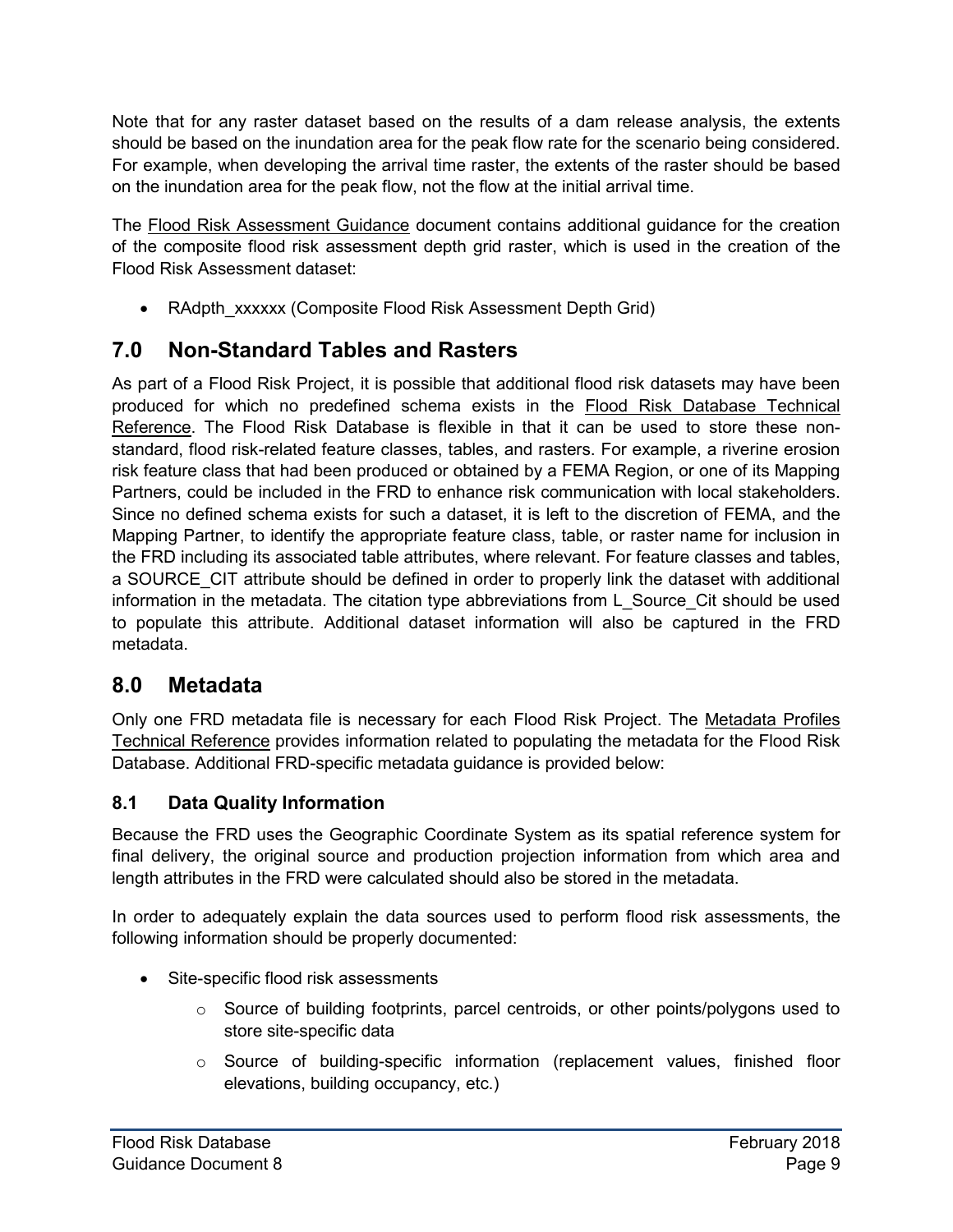Note that for any raster dataset based on the results of a dam release analysis, the extents should be based on the inundation area for the peak flow rate for the scenario being considered. For example, when developing the arrival time raster, the extents of the raster should be based on the inundation area for the peak flow, not the flow at the initial arrival time.

The Flood Risk Assessment Guidance document contains additional guidance for the creation of the composite flood risk assessment depth grid raster, which is used in the creation of the Flood Risk Assessment dataset:

• RAdpth\_xxxxxx (Composite Flood Risk Assessment Depth Grid)

# <span id="page-13-0"></span>**7.0 Non-Standard Tables and Rasters**

As part of a Flood Risk Project, it is possible that additional flood risk datasets may have been produced for which no predefined schema exists in the Flood Risk Database Technical Reference. The Flood Risk Database is flexible in that it can be used to store these nonstandard, flood risk-related feature classes, tables, and rasters. For example, a riverine erosion risk feature class that had been produced or obtained by a FEMA Region, or one of its Mapping Partners, could be included in the FRD to enhance risk communication with local stakeholders. Since no defined schema exists for such a dataset, it is left to the discretion of FEMA, and the Mapping Partner, to identify the appropriate feature class, table, or raster name for inclusion in the FRD including its associated table attributes, where relevant. For feature classes and tables, a SOURCE CIT attribute should be defined in order to properly link the dataset with additional information in the metadata. The citation type abbreviations from L\_Source\_Cit should be used to populate this attribute. Additional dataset information will also be captured in the FRD metadata.

## <span id="page-13-1"></span>**8.0 Metadata**

Only one FRD metadata file is necessary for each Flood Risk Project. The Metadata Profiles Technical Reference provides information related to populating the metadata for the Flood Risk Database. Additional FRD-specific metadata guidance is provided below:

#### <span id="page-13-2"></span>**8.1 Data Quality Information**

Because the FRD uses the Geographic Coordinate System as its spatial reference system for final delivery, the original source and production projection information from which area and length attributes in the FRD were calculated should also be stored in the metadata.

In order to adequately explain the data sources used to perform flood risk assessments, the following information should be properly documented:

- Site-specific flood risk assessments
	- o Source of building footprints, parcel centroids, or other points/polygons used to store site-specific data
	- $\circ$  Source of building-specific information (replacement values, finished floor elevations, building occupancy, etc.)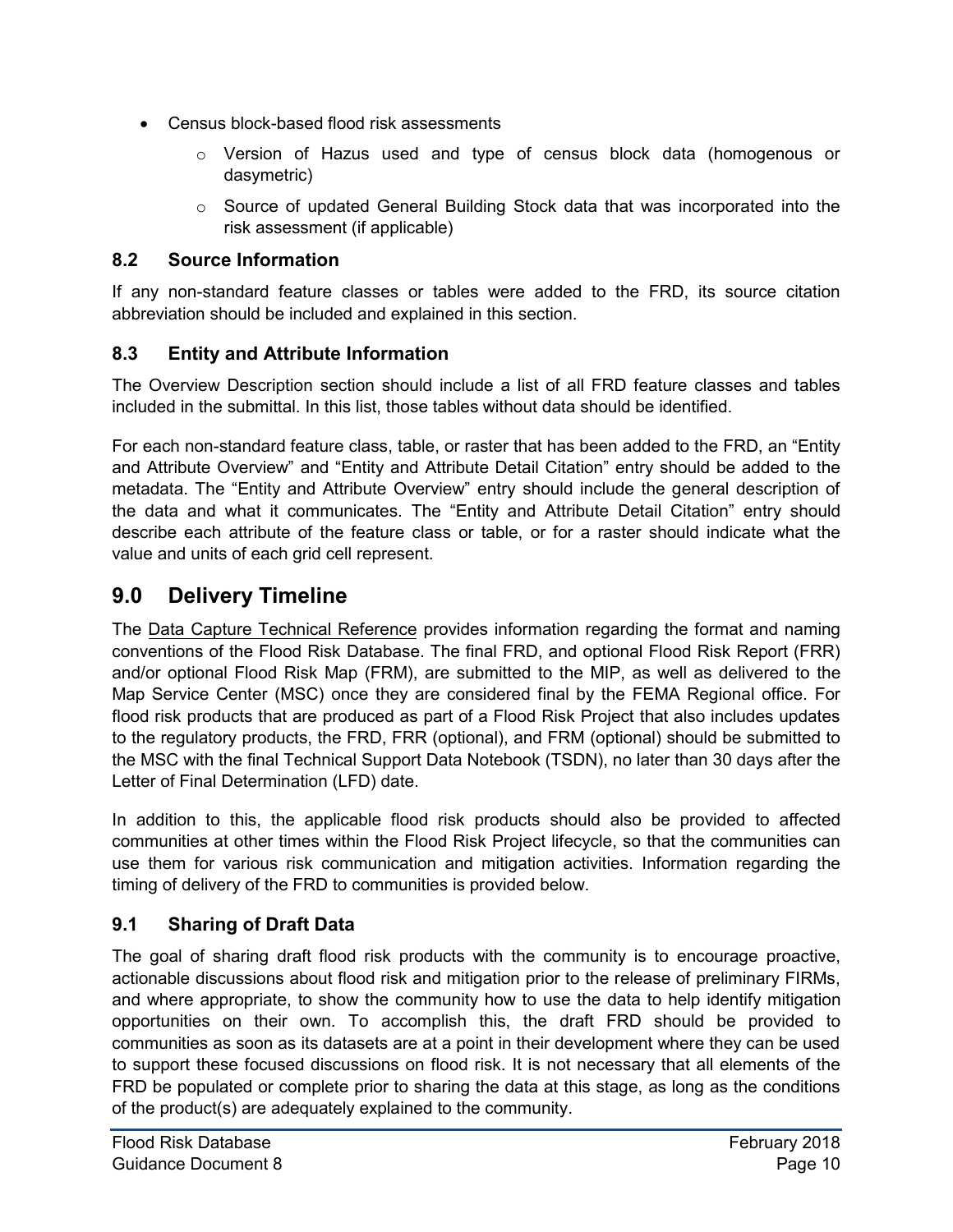- Census block-based flood risk assessments
	- o Version of Hazus used and type of census block data (homogenous or dasymetric)
	- $\circ$  Source of updated General Building Stock data that was incorporated into the risk assessment (if applicable)

#### <span id="page-14-0"></span>**8.2 Source Information**

If any non-standard feature classes or tables were added to the FRD, its source citation abbreviation should be included and explained in this section.

#### <span id="page-14-1"></span>**8.3 Entity and Attribute Information**

The Overview Description section should include a list of all FRD feature classes and tables included in the submittal. In this list, those tables without data should be identified.

For each non-standard feature class, table, or raster that has been added to the FRD, an "Entity and Attribute Overview" and "Entity and Attribute Detail Citation" entry should be added to the metadata. The "Entity and Attribute Overview" entry should include the general description of the data and what it communicates. The "Entity and Attribute Detail Citation" entry should describe each attribute of the feature class or table, or for a raster should indicate what the value and units of each grid cell represent.

# <span id="page-14-2"></span>**9.0 Delivery Timeline**

The Data Capture Technical Reference provides information regarding the format and naming conventions of the Flood Risk Database. The final FRD, and optional Flood Risk Report (FRR) and/or optional Flood Risk Map (FRM), are submitted to the MIP, as well as delivered to the Map Service Center (MSC) once they are considered final by the FEMA Regional office. For flood risk products that are produced as part of a Flood Risk Project that also includes updates to the regulatory products, the FRD, FRR (optional), and FRM (optional) should be submitted to the MSC with the final Technical Support Data Notebook (TSDN), no later than 30 days after the Letter of Final Determination (LFD) date.

In addition to this, the applicable flood risk products should also be provided to affected communities at other times within the Flood Risk Project lifecycle, so that the communities can use them for various risk communication and mitigation activities. Information regarding the timing of delivery of the FRD to communities is provided below.

#### <span id="page-14-3"></span>**9.1 Sharing of Draft Data**

The goal of sharing draft flood risk products with the community is to encourage proactive, actionable discussions about flood risk and mitigation prior to the release of preliminary FIRMs, and where appropriate, to show the community how to use the data to help identify mitigation opportunities on their own. To accomplish this, the draft FRD should be provided to communities as soon as its datasets are at a point in their development where they can be used to support these focused discussions on flood risk. It is not necessary that all elements of the FRD be populated or complete prior to sharing the data at this stage, as long as the conditions of the product(s) are adequately explained to the community.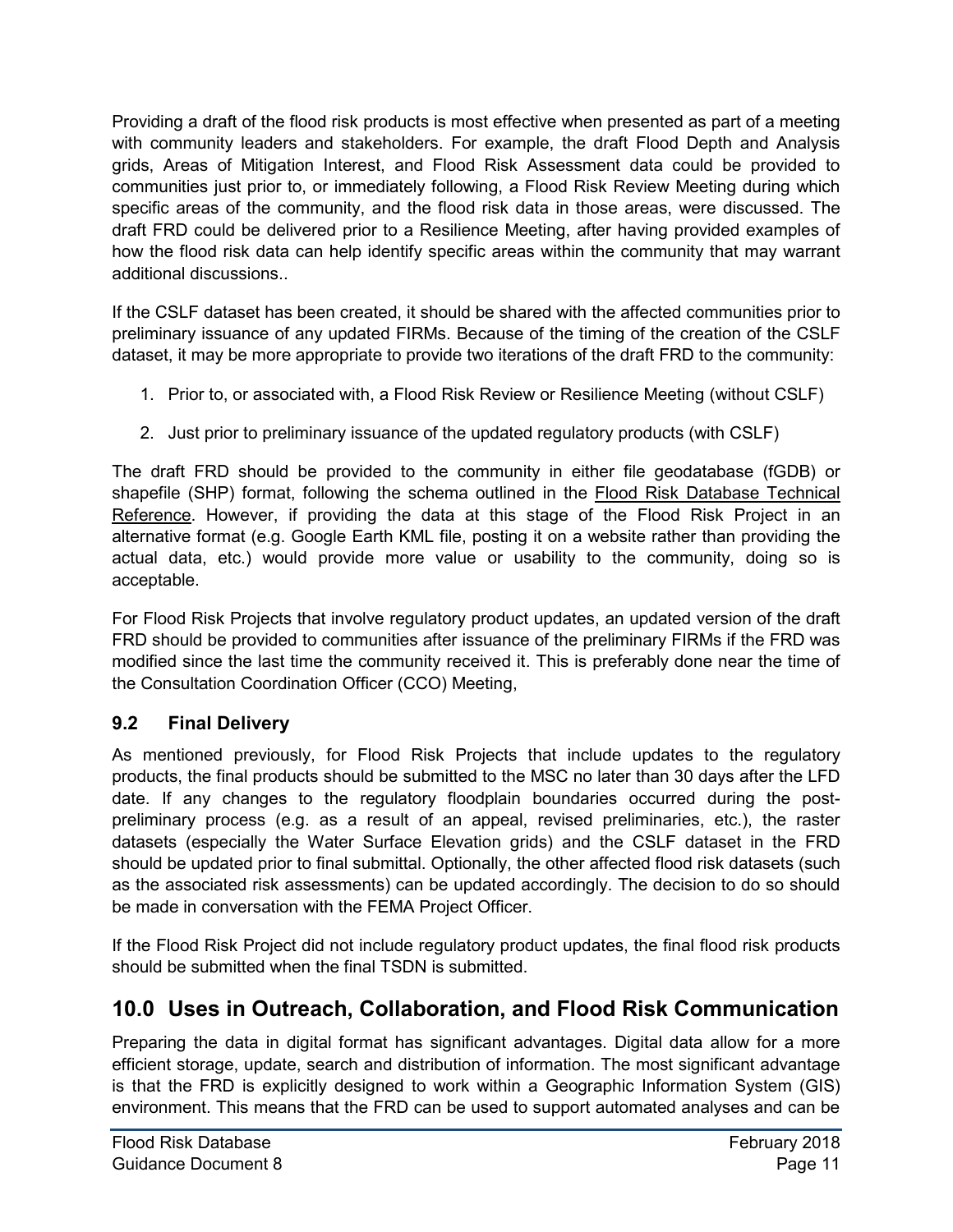Providing a draft of the flood risk products is most effective when presented as part of a meeting with community leaders and stakeholders. For example, the draft Flood Depth and Analysis grids, Areas of Mitigation Interest, and Flood Risk Assessment data could be provided to communities just prior to, or immediately following, a Flood Risk Review Meeting during which specific areas of the community, and the flood risk data in those areas, were discussed. The draft FRD could be delivered prior to a Resilience Meeting, after having provided examples of how the flood risk data can help identify specific areas within the community that may warrant additional discussions..

If the CSLF dataset has been created, it should be shared with the affected communities prior to preliminary issuance of any updated FIRMs. Because of the timing of the creation of the CSLF dataset, it may be more appropriate to provide two iterations of the draft FRD to the community:

- 1. Prior to, or associated with, a Flood Risk Review or Resilience Meeting (without CSLF)
- 2. Just prior to preliminary issuance of the updated regulatory products (with CSLF)

The draft FRD should be provided to the community in either file geodatabase (fGDB) or shapefile (SHP) format, following the schema outlined in the Flood Risk Database Technical Reference. However, if providing the data at this stage of the Flood Risk Project in an alternative format (e.g. Google Earth KML file, posting it on a website rather than providing the actual data, etc.) would provide more value or usability to the community, doing so is acceptable.

For Flood Risk Projects that involve regulatory product updates, an updated version of the draft FRD should be provided to communities after issuance of the preliminary FIRMs if the FRD was modified since the last time the community received it. This is preferably done near the time of the Consultation Coordination Officer (CCO) Meeting,

#### <span id="page-15-0"></span>**9.2 Final Delivery**

As mentioned previously, for Flood Risk Projects that include updates to the regulatory products, the final products should be submitted to the MSC no later than 30 days after the LFD date. If any changes to the regulatory floodplain boundaries occurred during the postpreliminary process (e.g. as a result of an appeal, revised preliminaries, etc.), the raster datasets (especially the Water Surface Elevation grids) and the CSLF dataset in the FRD should be updated prior to final submittal. Optionally, the other affected flood risk datasets (such as the associated risk assessments) can be updated accordingly. The decision to do so should be made in conversation with the FEMA Project Officer.

If the Flood Risk Project did not include regulatory product updates, the final flood risk products should be submitted when the final TSDN is submitted.

# <span id="page-15-1"></span>**10.0 Uses in Outreach, Collaboration, and Flood Risk Communication**

Preparing the data in digital format has significant advantages. Digital data allow for a more efficient storage, update, search and distribution of information. The most significant advantage is that the FRD is explicitly designed to work within a Geographic Information System (GIS) environment. This means that the FRD can be used to support automated analyses and can be